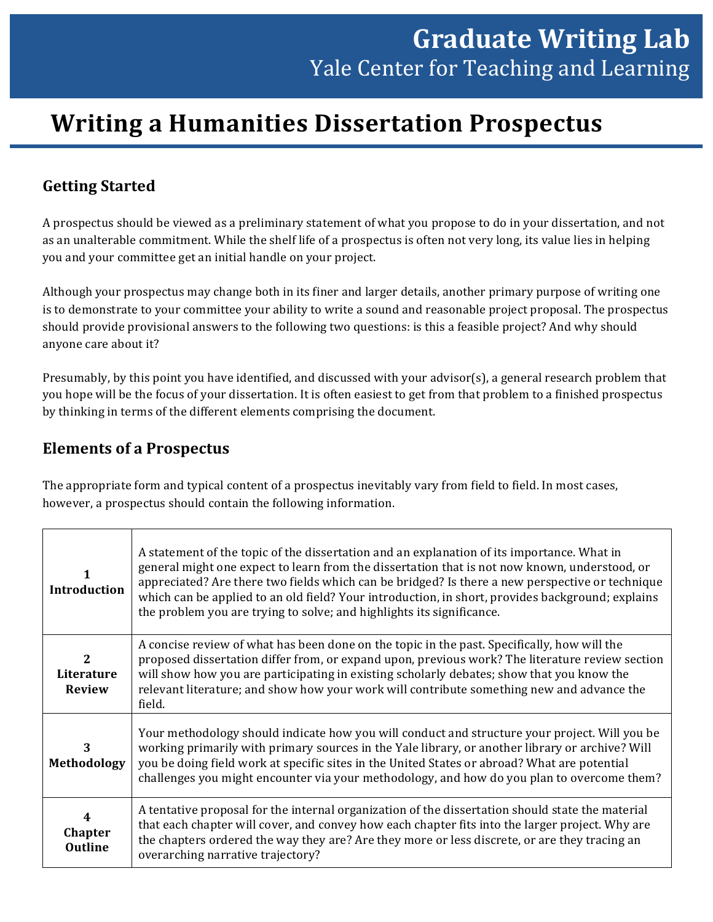# **Writing a Humanities Dissertation Prospectus**

# **Getting Started**

A prospectus should be viewed as a preliminary statement of what you propose to do in your dissertation, and not as an unalterable commitment. While the shelf life of a prospectus is often not very long, its value lies in helping you and your committee get an initial handle on your project.

Although your prospectus may change both in its finer and larger details, another primary purpose of writing one is to demonstrate to your committee your ability to write a sound and reasonable project proposal. The prospectus should provide provisional answers to the following two questions: is this a feasible project? And why should anyone care about it?

Presumably, by this point you have identified, and discussed with your advisor(s), a general research problem that you hope will be the focus of your dissertation. It is often easiest to get from that problem to a finished prospectus by thinking in terms of the different elements comprising the document.

#### **Elements of a Prospectus**

The appropriate form and typical content of a prospectus inevitably vary from field to field. In most cases, however, a prospectus should contain the following information.

| <b>Introduction</b>                         | A statement of the topic of the dissertation and an explanation of its importance. What in<br>general might one expect to learn from the dissertation that is not now known, understood, or<br>appreciated? Are there two fields which can be bridged? Is there a new perspective or technique<br>which can be applied to an old field? Your introduction, in short, provides background; explains<br>the problem you are trying to solve; and highlights its significance. |
|---------------------------------------------|-----------------------------------------------------------------------------------------------------------------------------------------------------------------------------------------------------------------------------------------------------------------------------------------------------------------------------------------------------------------------------------------------------------------------------------------------------------------------------|
| $\mathbf{2}$<br>Literature<br><b>Review</b> | A concise review of what has been done on the topic in the past. Specifically, how will the<br>proposed dissertation differ from, or expand upon, previous work? The literature review section<br>will show how you are participating in existing scholarly debates; show that you know the<br>relevant literature; and show how your work will contribute something new and advance the<br>field.                                                                          |
| 3<br><b>Methodology</b>                     | Your methodology should indicate how you will conduct and structure your project. Will you be<br>working primarily with primary sources in the Yale library, or another library or archive? Will<br>you be doing field work at specific sites in the United States or abroad? What are potential<br>challenges you might encounter via your methodology, and how do you plan to overcome them?                                                                              |
| 4<br><b>Chapter</b><br><b>Outline</b>       | A tentative proposal for the internal organization of the dissertation should state the material<br>that each chapter will cover, and convey how each chapter fits into the larger project. Why are<br>the chapters ordered the way they are? Are they more or less discrete, or are they tracing an<br>overarching narrative trajectory?                                                                                                                                   |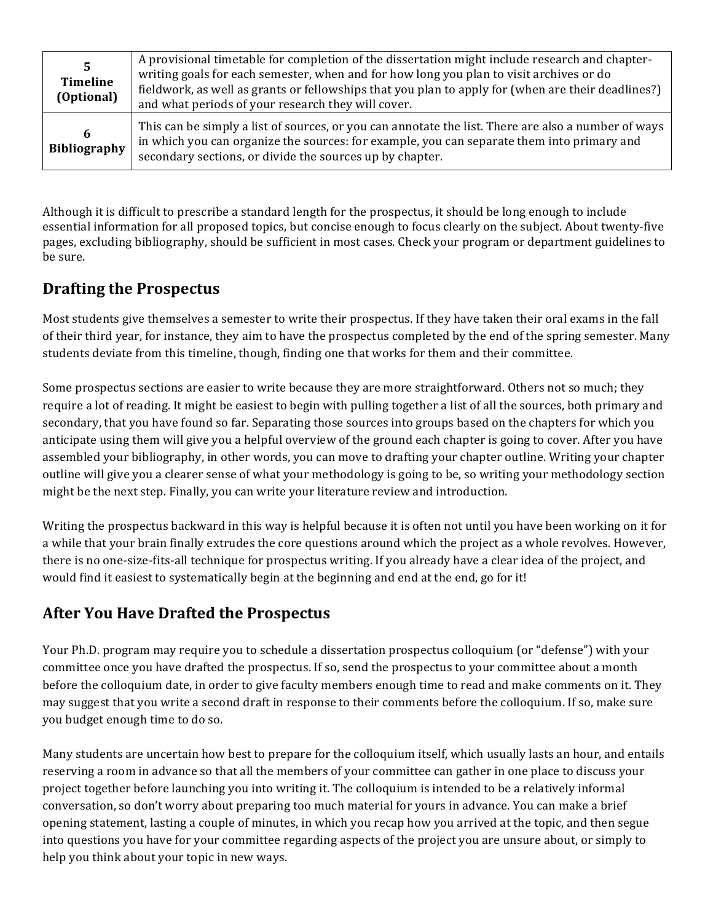| 5<br><b>Timeline</b><br>(Optional) | A provisional timetable for completion of the dissertation might include research and chapter-<br>writing goals for each semester, when and for how long you plan to visit archives or do<br>fieldwork, as well as grants or fellowships that you plan to apply for (when are their deadlines?)<br>and what periods of your research they will cover. |
|------------------------------------|-------------------------------------------------------------------------------------------------------------------------------------------------------------------------------------------------------------------------------------------------------------------------------------------------------------------------------------------------------|
| 6<br><b>Bibliography</b>           | This can be simply a list of sources, or you can annotate the list. There are also a number of ways<br>in which you can organize the sources: for example, you can separate them into primary and<br>secondary sections, or divide the sources up by chapter.                                                                                         |

Although it is difficult to prescribe a standard length for the prospectus, it should be long enough to include essential information for all proposed topics, but concise enough to focus clearly on the subject. About twenty-five pages, excluding bibliography, should be sufficient in most cases. Check your program or department guidelines to be sure.

## **Drafting the Prospectus**

Most students give themselves a semester to write their prospectus. If they have taken their oral exams in the fall of their third year, for instance, they aim to have the prospectus completed by the end of the spring semester. Many students deviate from this timeline, though, finding one that works for them and their committee.

Some prospectus sections are easier to write because they are more straightforward. Others not so much; they require a lot of reading. It might be easiest to begin with pulling together a list of all the sources, both primary and secondary, that you have found so far. Separating those sources into groups based on the chapters for which you anticipate using them will give you a helpful overview of the ground each chapter is going to cover. After you have assembled your bibliography, in other words, you can move to drafting your chapter outline. Writing your chapter outline will give you a clearer sense of what your methodology is going to be, so writing your methodology section might be the next step. Finally, you can write your literature review and introduction.

Writing the prospectus backward in this way is helpful because it is often not until you have been working on it for a while that your brain finally extrudes the core questions around which the project as a whole revolves. However, there is no one-size-fits-all technique for prospectus writing. If you already have a clear idea of the project, and would find it easiest to systematically begin at the beginning and end at the end, go for it!

## **After You Have Drafted the Prospectus**

Your Ph.D. program may require you to schedule a dissertation prospectus colloquium (or "defense") with your committee once you have drafted the prospectus. If so, send the prospectus to your committee about a month before the colloquium date, in order to give faculty members enough time to read and make comments on it. They may suggest that you write a second draft in response to their comments before the colloquium. If so, make sure you budget enough time to do so.

Many students are uncertain how best to prepare for the colloquium itself, which usually lasts an hour, and entails reserving a room in advance so that all the members of your committee can gather in one place to discuss your project together before launching you into writing it. The colloquium is intended to be a relatively informal conversation, so don't worry about preparing too much material for yours in advance. You can make a brief opening statement, lasting a couple of minutes, in which you recap how you arrived at the topic, and then segue into questions you have for your committee regarding aspects of the project you are unsure about, or simply to help you think about your topic in new ways.